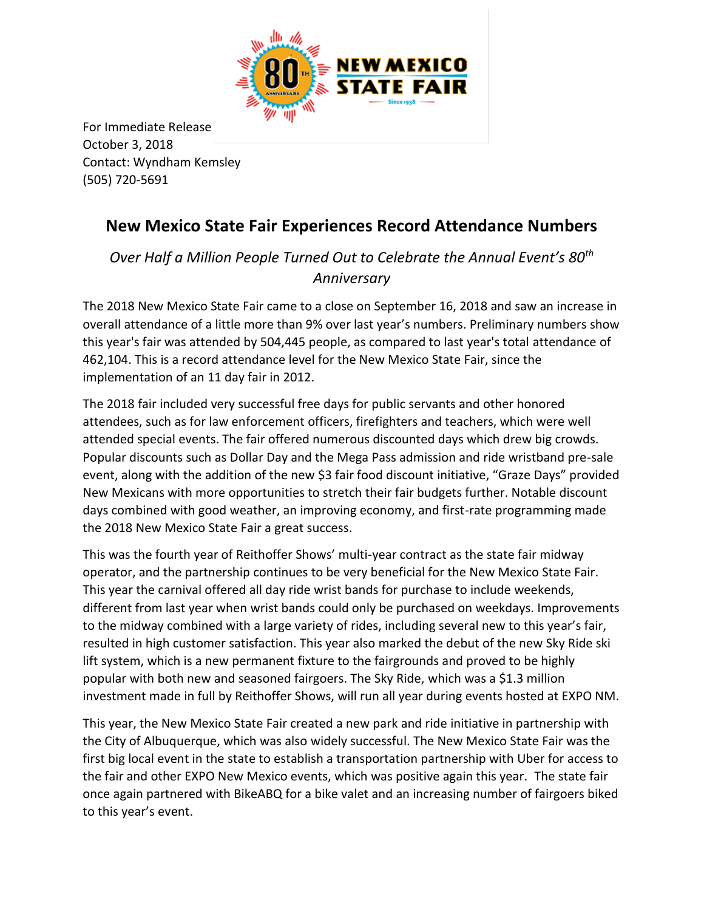

For Immediate Release October 3, 2018 Contact: Wyndham Kemsley (505) 720-5691

## **New Mexico State Fair Experiences Record Attendance Numbers**

## *Over Half a Million People Turned Out to Celebrate the Annual Event's 80th Anniversary*

The 2018 New Mexico State Fair came to a close on September 16, 2018 and saw an increase in overall attendance of a little more than 9% over last year's numbers. Preliminary numbers show this year's fair was attended by 504,445 people, as compared to last year's total attendance of 462,104. This is a record attendance level for the New Mexico State Fair, since the implementation of an 11 day fair in 2012.

The 2018 fair included very successful free days for public servants and other honored attendees, such as for law enforcement officers, firefighters and teachers, which were well attended special events. The fair offered numerous discounted days which drew big crowds. Popular discounts such as Dollar Day and the Mega Pass admission and ride wristband pre-sale event, along with the addition of the new \$3 fair food discount initiative, "Graze Days" provided New Mexicans with more opportunities to stretch their fair budgets further. Notable discount days combined with good weather, an improving economy, and first-rate programming made the 2018 New Mexico State Fair a great success.

This was the fourth year of Reithoffer Shows' multi-year contract as the state fair midway operator, and the partnership continues to be very beneficial for the New Mexico State Fair. This year the carnival offered all day ride wrist bands for purchase to include weekends, different from last year when wrist bands could only be purchased on weekdays. Improvements to the midway combined with a large variety of rides, including several new to this year's fair, resulted in high customer satisfaction. This year also marked the debut of the new Sky Ride ski lift system, which is a new permanent fixture to the fairgrounds and proved to be highly popular with both new and seasoned fairgoers. The Sky Ride, which was a \$1.3 million investment made in full by Reithoffer Shows, will run all year during events hosted at EXPO NM.

This year, the New Mexico State Fair created a new park and ride initiative in partnership with the City of Albuquerque, which was also widely successful. The New Mexico State Fair was the first big local event in the state to establish a transportation partnership with Uber for access to the fair and other EXPO New Mexico events, which was positive again this year. The state fair once again partnered with BikeABQ for a bike valet and an increasing number of fairgoers biked to this year's event.